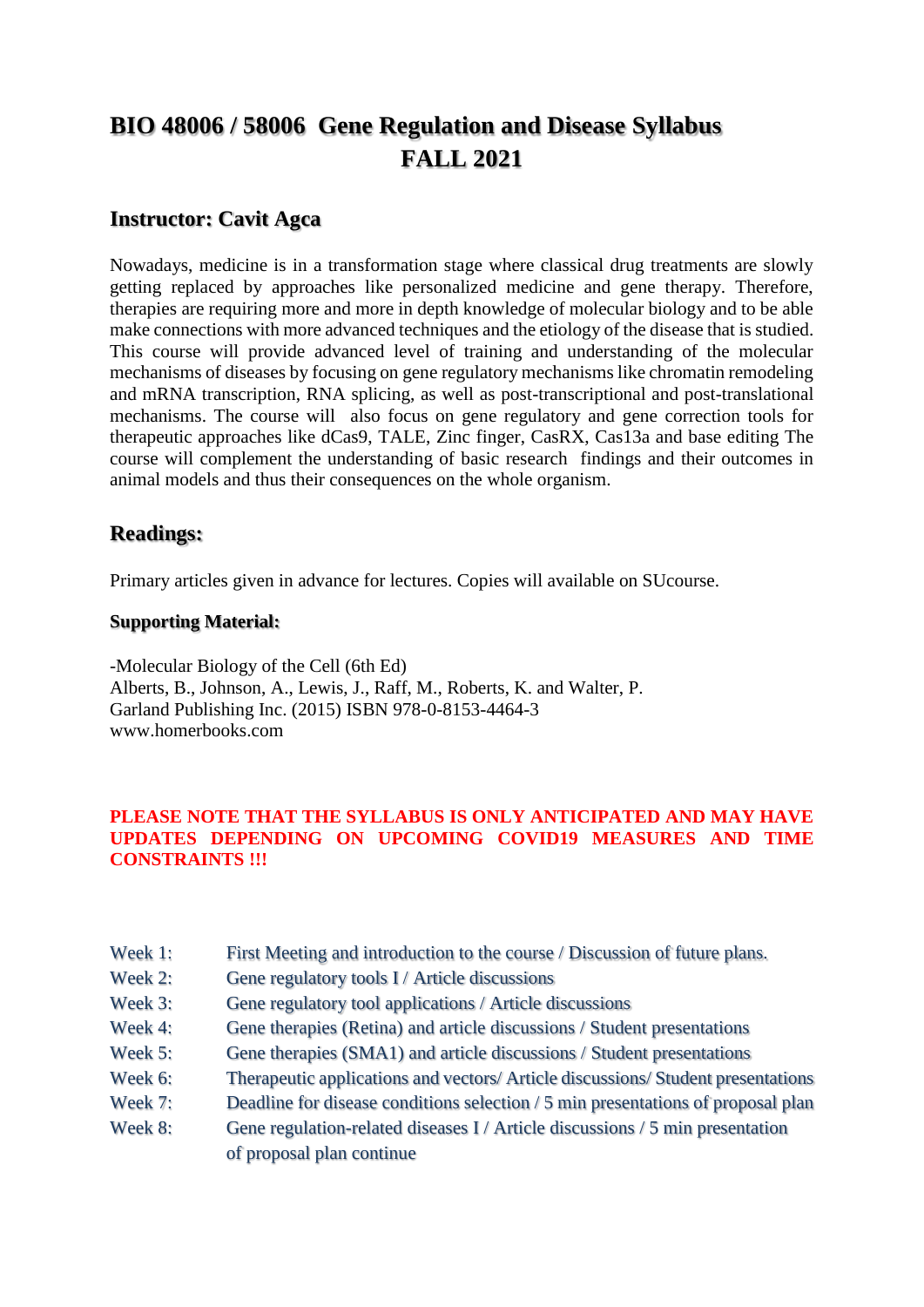# **BIO 48006 / 58006 Gene Regulation and Disease Syllabus FALL 2021**

### **Instructor: Cavit Agca**

Nowadays, medicine is in a transformation stage where classical drug treatments are slowly getting replaced by approaches like personalized medicine and gene therapy. Therefore, therapies are requiring more and more in depth knowledge of molecular biology and to be able make connections with more advanced techniques and the etiology of the disease that is studied. This course will provide advanced level of training and understanding of the molecular mechanisms of diseases by focusing on gene regulatory mechanisms like chromatin remodeling and mRNA transcription, RNA splicing, as well as post-transcriptional and post-translational mechanisms. The course will also focus on gene regulatory and gene correction tools for therapeutic approaches like dCas9, TALE, Zinc finger, CasRX, Cas13a and base editing The course will complement the understanding of basic research findings and their outcomes in animal models and thus their consequences on the whole organism.

### **Readings:**

Primary articles given in advance for lectures. Copies will available on SUcourse.

#### **Supporting Material:**

-Molecular Biology of the Cell (6th Ed) Alberts, B., Johnson, A., Lewis, J., Raff, M., Roberts, K. and Walter, P. Garland Publishing Inc. (2015) ISBN 978-0-8153-4464-3 www.homerbooks.com

#### **PLEASE NOTE THAT THE SYLLABUS IS ONLY ANTICIPATED AND MAY HAVE UPDATES DEPENDING ON UPCOMING COVID19 MEASURES AND TIME CONSTRAINTS !!!**

- Week 1: First Meeting and introduction to the course / Discussion of future plans.
- Week 2: Gene regulatory tools I / Article discussions
- Week 3: Gene regulatory tool applications / Article discussions
- Week 4: Gene therapies (Retina) and article discussions / Student presentations
- Week 5: Gene therapies (SMA1) and article discussions / Student presentations
- Week 6: Therapeutic applications and vectors/ Article discussions/ Student presentations
- Week 7: Deadline for disease conditions selection / 5 min presentations of proposal plan
- Week 8: Gene regulation-related diseases I / Article discussions / 5 min presentation of proposal plan continue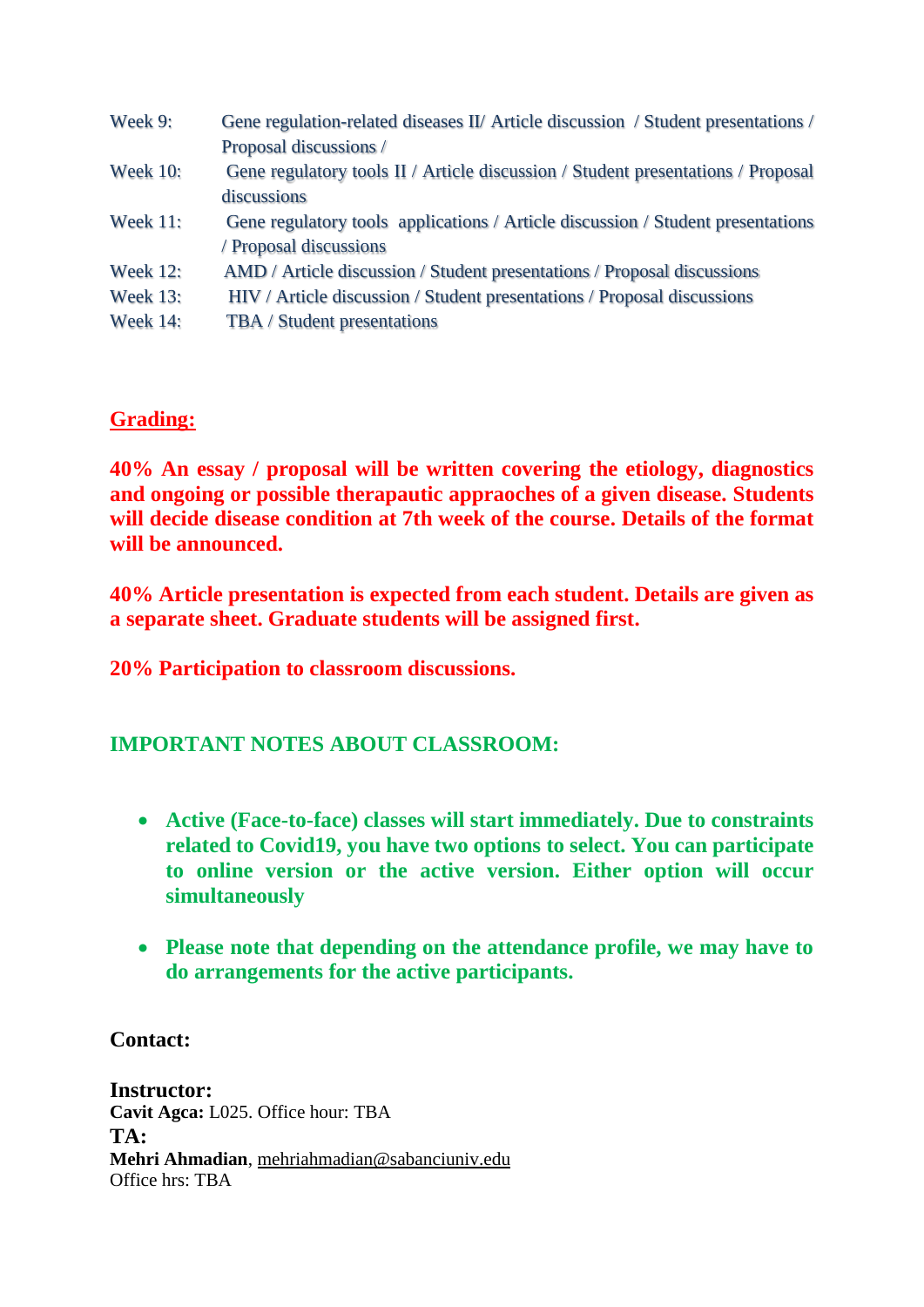| Week 9:         | Gene regulation-related diseases II/ Article discussion / Student presentations / |
|-----------------|-----------------------------------------------------------------------------------|
|                 | Proposal discussions /                                                            |
| <b>Week 10:</b> | Gene regulatory tools II / Article discussion / Student presentations / Proposal  |
|                 | discussions                                                                       |
| <b>Week 11:</b> | Gene regulatory tools applications / Article discussion / Student presentations   |
|                 | / Proposal discussions                                                            |
| <b>Week 12:</b> | AMD / Article discussion / Student presentations / Proposal discussions           |
| <b>Week 13:</b> | HIV / Article discussion / Student presentations / Proposal discussions           |
| <b>Week 14:</b> | TBA / Student presentations                                                       |
|                 |                                                                                   |

# **Grading:**

**40% An essay / proposal will be written covering the etiology, diagnostics and ongoing or possible therapautic appraoches of a given disease. Students will decide disease condition at 7th week of the course. Details of the format will be announced.**

**40% Article presentation is expected from each student. Details are given as a separate sheet. Graduate students will be assigned first.**

**20% Participation to classroom discussions.** 

# **IMPORTANT NOTES ABOUT CLASSROOM:**

- **Active (Face-to-face) classes will start immediately. Due to constraints related to Covid19, you have two options to select. You can participate to online version or the active version. Either option will occur simultaneously**
- **Please note that depending on the attendance profile, we may have to do arrangements for the active participants.**

# **Contact:**

**Instructor: Cavit Agca:** L025. Office hour: TBA **TA: Mehri Ahmadian**, mehriahmadian@sabanciuniv.edu Office hrs: TBA